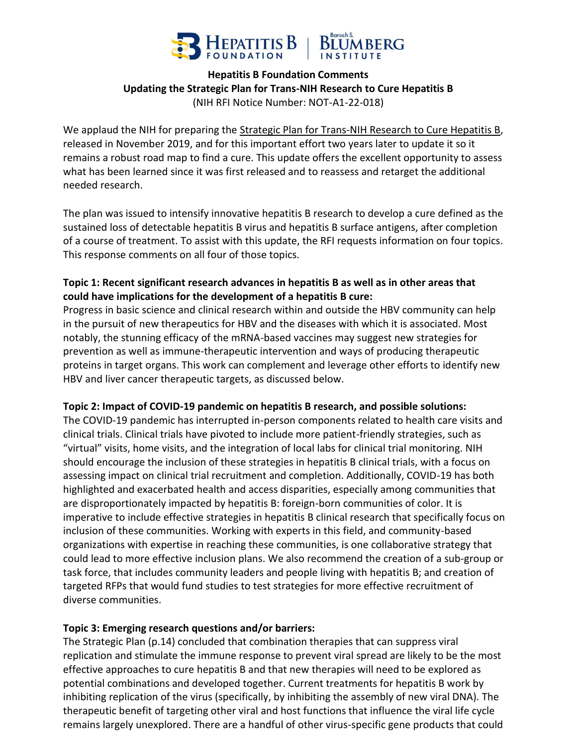

### **Hepatitis B Foundation Comments Updating the Strategic Plan for Trans-NIH Research to Cure Hepatitis B** (NIH RFI Notice Number: NOT-A1-22-018)

We applaud the NIH for preparing the Strategic Plan for Trans-NIH Research to Cure Hepatitis B, released in November 2019, and for this important effort two years later to update it so it remains a robust road map to find a cure. This update offers the excellent opportunity to assess what has been learned since it was first released and to reassess and retarget the additional needed research.

The plan was issued to intensify innovative hepatitis B research to develop a cure defined as the sustained loss of detectable hepatitis B virus and hepatitis B surface antigens, after completion of a course of treatment. To assist with this update, the RFI requests information on four topics. This response comments on all four of those topics.

## **Topic 1: Recent significant research advances in hepatitis B as well as in other areas that could have implications for the development of a hepatitis B cure:**

Progress in basic science and clinical research within and outside the HBV community can help in the pursuit of new therapeutics for HBV and the diseases with which it is associated. Most notably, the stunning efficacy of the mRNA-based vaccines may suggest new strategies for prevention as well as immune-therapeutic intervention and ways of producing therapeutic proteins in target organs. This work can complement and leverage other efforts to identify new HBV and liver cancer therapeutic targets, as discussed below.

#### **Topic 2: Impact of COVID-19 pandemic on hepatitis B research, and possible solutions:**

The COVID-19 pandemic has interrupted in-person components related to health care visits and clinical trials. Clinical trials have pivoted to include more patient-friendly strategies, such as "virtual" visits, home visits, and the integration of local labs for clinical trial monitoring. NIH should encourage the inclusion of these strategies in hepatitis B clinical trials, with a focus on assessing impact on clinical trial recruitment and completion. Additionally, COVID-19 has both highlighted and exacerbated health and access disparities, especially among communities that are disproportionately impacted by hepatitis B: foreign-born communities of color. It is imperative to include effective strategies in hepatitis B clinical research that specifically focus on inclusion of these communities. Working with experts in this field, and community-based organizations with expertise in reaching these communities, is one collaborative strategy that could lead to more effective inclusion plans. We also recommend the creation of a sub-group or task force, that includes community leaders and people living with hepatitis B; and creation of targeted RFPs that would fund studies to test strategies for more effective recruitment of diverse communities.

#### **Topic 3: Emerging research questions and/or barriers:**

The Strategic Plan (p.14) concluded that combination therapies that can suppress viral replication and stimulate the immune response to prevent viral spread are likely to be the most effective approaches to cure hepatitis B and that new therapies will need to be explored as potential combinations and developed together. Current treatments for hepatitis B work by inhibiting replication of the virus (specifically, by inhibiting the assembly of new viral DNA). The therapeutic benefit of targeting other viral and host functions that influence the viral life cycle remains largely unexplored. There are a handful of other virus-specific gene products that could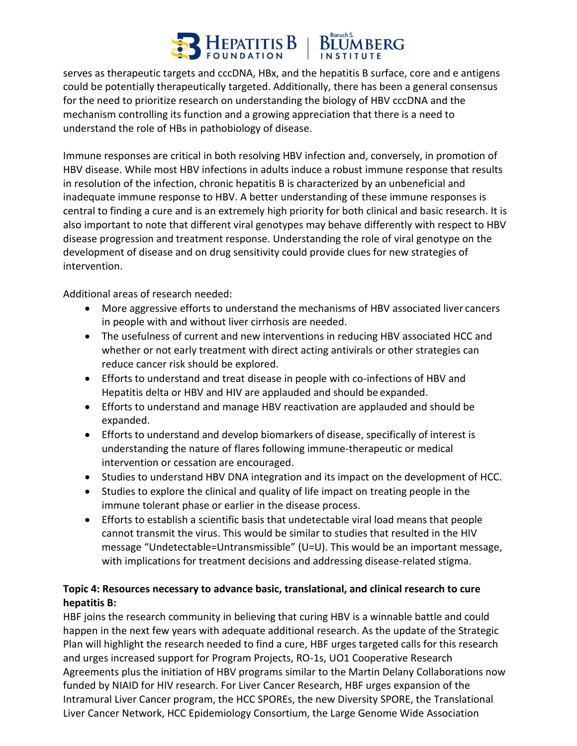# EPATITIS B

serves as therapeutic targets and cccDNA, HBx, and the hepatitis B surface, core and e antigens could be potentially therapeutically targeted. Additionally, there has been a general consensus for the need to prioritize research on understanding the biology of HBV cccDNA and the mechanism controlling its function and a growing appreciation that there is a need to understand the role of HBs in pathobiology of disease.

Immune responses are critical in both resolving HBV infection and, conversely, in promotion of HBV disease. While most HBV infections in adults induce a robust immune response that results in resolution of the infection, chronic hepatitis B is characterized by an unbeneficial and inadequate immune response to HBV. A better understanding of these immune responses is central to finding a cure and is an extremely high priority for both clinical and basic research. It is also important to note that different viral genotypes may behave differently with respect to HBV disease progression and treatment response. Understanding the role of viral genotype on the development of disease and on drug sensitivity could provide clues for new strategies of intervention.

Additional areas of research needed:

- More aggressive efforts to understand the mechanisms of HBV associated liver cancers in people with and without liver cirrhosis are needed.
- The usefulness of current and new interventions in reducing HBV associated HCC and whether or not early treatment with direct acting antivirals or other strategies can reduce cancer risk should be explored.
- Efforts to understand and treat disease in people with co-infections of HBV and Hepatitis delta or HBV and HIV are applauded and should be expanded.
- Efforts to understand and manage HBV reactivation are applauded and should be expanded.
- Efforts to understand and develop biomarkers of disease, specifically of interest is understanding the nature of flares following immune-therapeutic or medical intervention or cessation are encouraged.
- Studies to understand HBV DNA integration and its impact on the development of HCC.
- Studies to explore the clinical and quality of life impact on treating people in the immune tolerant phase or earlier in the disease process.
- Efforts to establish a scientific basis that undetectable viral load means that people cannot transmit the virus. This would be similar to studies that resulted in the HIV message "Undetectable=Untransmissible" (U=U). This would be an important message, with implications for treatment decisions and addressing disease-related stigma.

## **Topic 4: Resources necessary to advance basic, translational, and clinical research to cure hepatitis B:**

HBF joins the research community in believing that curing HBV is a winnable battle and could happen in the next few years with adequate additional research. As the update of the Strategic Plan will highlight the research needed to find a cure, HBF urges targeted calls for this research and urges increased support for Program Projects, RO-1s, UO1 Cooperative Research Agreements plus the initiation of HBV programs similar to the Martin Delany Collaborations now funded by NIAID for HIV research. For Liver Cancer Research, HBF urges expansion of the Intramural Liver Cancer program, the HCC SPOREs, the new Diversity SPORE, the Translational Liver Cancer Network, HCC Epidemiology Consortium, the Large Genome Wide Association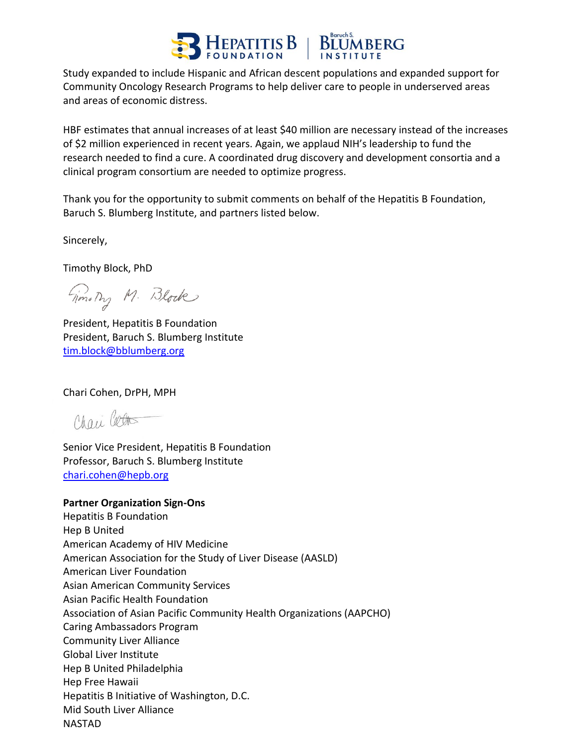

Study expanded to include Hispanic and African descent populations and expanded support for Community Oncology Research Programs to help deliver care to people in underserved areas and areas of economic distress.

HBF estimates that annual increases of at least \$40 million are necessary instead of the increases of \$2 million experienced in recent years. Again, we applaud NIH's leadership to fund the research needed to find a cure. A coordinated drug discovery and development consortia and a clinical program consortium are needed to optimize progress.

Thank you for the opportunity to submit comments on behalf of the Hepatitis B Foundation, Baruch S. Blumberg Institute, and partners listed below.

Sincerely,

Timothy Block, PhD

Giornaly M. Block

President, Hepatitis B Foundation President, Baruch S. Blumberg Institute [tim.block@bblumberg.org](mailto:tim.block@bblumberg.org) 

Chari Cohen, DrPH, MPH

Chari Cotto

Senior Vice President, Hepatitis B Foundation Professor, Baruch S. Blumberg Institute [chari.cohen@hepb.org](mailto:chari.cohen@hepb.org)

#### **Partner Organization Sign-Ons**

Hepatitis B Foundation Hep B United American Academy of HIV Medicine American Association for the Study of Liver Disease (AASLD) American Liver Foundation Asian American Community Services Asian Pacific Health Foundation Association of Asian Pacific Community Health Organizations (AAPCHO) Caring Ambassadors Program Community Liver Alliance Global Liver Institute Hep B United Philadelphia Hep Free Hawaii Hepatitis B Initiative of Washington, D.C. Mid South Liver Alliance NASTAD